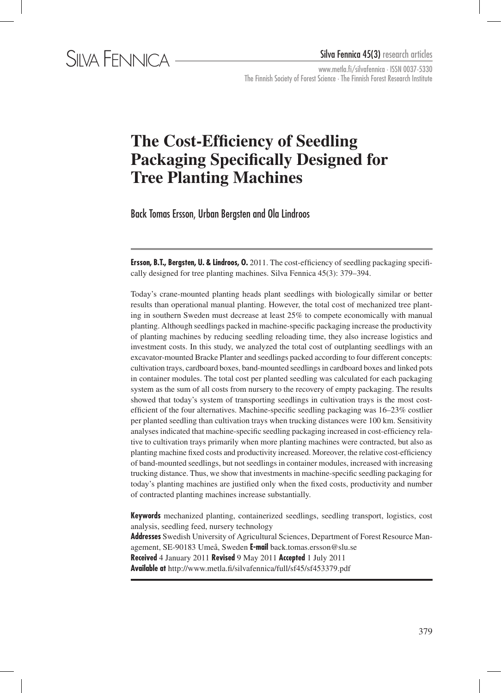

# **The Cost-Efficiency of Seedling Packaging Specifically Designed for Tree Planting Machines**

Back Tomas Ersson, Urban Bergsten and Ola Lindroos

**Ersson, B.T., Bergsten, U. & Lindroos, O.** 2011. The cost-efficiency of seedling packaging specifically designed for tree planting machines. Silva Fennica 45(3): 379–394.

Today's crane-mounted planting heads plant seedlings with biologically similar or better results than operational manual planting. However, the total cost of mechanized tree planting in southern Sweden must decrease at least 25% to compete economically with manual planting. Although seedlings packed in machine-specific packaging increase the productivity of planting machines by reducing seedling reloading time, they also increase logistics and investment costs. In this study, we analyzed the total cost of outplanting seedlings with an excavator-mounted Bracke Planter and seedlings packed according to four different concepts: cultivation trays, cardboard boxes, band-mounted seedlings in cardboard boxes and linked pots in container modules. The total cost per planted seedling was calculated for each packaging system as the sum of all costs from nursery to the recovery of empty packaging. The results showed that today's system of transporting seedlings in cultivation trays is the most costefficient of the four alternatives. Machine-specific seedling packaging was 16–23% costlier per planted seedling than cultivation trays when trucking distances were 100 km. Sensitivity analyses indicated that machine-specific seedling packaging increased in cost-efficiency relative to cultivation trays primarily when more planting machines were contracted, but also as planting machine fixed costs and productivity increased. Moreover, the relative cost-efficiency of band-mounted seedlings, but not seedlings in container modules, increased with increasing trucking distance. Thus, we show that investments in machine-specific seedling packaging for today's planting machines are justified only when the fixed costs, productivity and number of contracted planting machines increase substantially.

**Keywords** mechanized planting, containerized seedlings, seedling transport, logistics, cost analysis, seedling feed, nursery technology **Addresses** Swedish University of Agricultural Sciences, Department of Forest Resource Management, SE-90183 Umeå, Sweden **E-mail** back.tomas.ersson@slu.se **Received** 4 January 2011 **Revised** 9 May 2011 **Accepted** 1 July 2011 **Available at** http://www.metla.fi/silvafennica/full/sf45/sf453379.pdf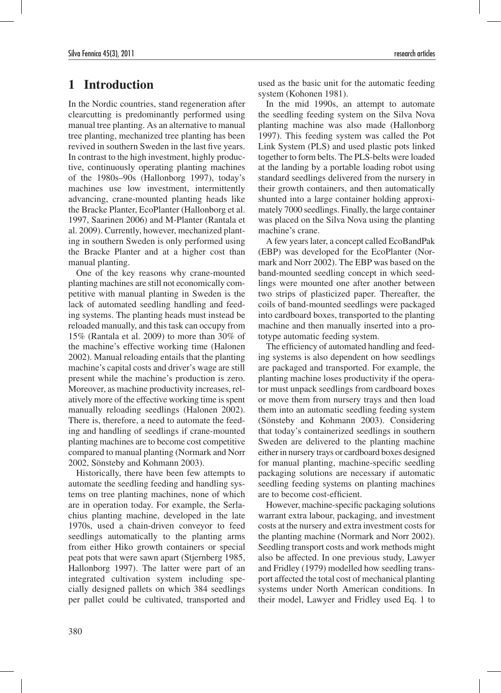## **1 Introduction**

In the Nordic countries, stand regeneration after clearcutting is predominantly performed using manual tree planting. As an alternative to manual tree planting, mechanized tree planting has been revived in southern Sweden in the last five years. In contrast to the high investment, highly productive, continuously operating planting machines of the 1980s–90s (Hallonborg 1997), today's machines use low investment, intermittently advancing, crane-mounted planting heads like the Bracke Planter, EcoPlanter (Hallonborg et al. 1997, Saarinen 2006) and M-Planter (Rantala et al. 2009). Currently, however, mechanized planting in southern Sweden is only performed using the Bracke Planter and at a higher cost than manual planting.

One of the key reasons why crane-mounted planting machines are still not economically competitive with manual planting in Sweden is the lack of automated seedling handling and feeding systems. The planting heads must instead be reloaded manually, and this task can occupy from 15% (Rantala et al. 2009) to more than 30% of the machine's effective working time (Halonen 2002). Manual reloading entails that the planting machine's capital costs and driver's wage are still present while the machine's production is zero. Moreover, as machine productivity increases, relatively more of the effective working time is spent manually reloading seedlings (Halonen 2002). There is, therefore, a need to automate the feeding and handling of seedlings if crane-mounted planting machines are to become cost competitive compared to manual planting (Normark and Norr 2002, Sönsteby and Kohmann 2003).

Historically, there have been few attempts to automate the seedling feeding and handling systems on tree planting machines, none of which are in operation today. For example, the Serlachius planting machine, developed in the late 1970s, used a chain-driven conveyor to feed seedlings automatically to the planting arms from either Hiko growth containers or special peat pots that were sawn apart (Stjernberg 1985, Hallonborg 1997). The latter were part of an integrated cultivation system including specially designed pallets on which 384 seedlings per pallet could be cultivated, transported and used as the basic unit for the automatic feeding system (Kohonen 1981).

In the mid 1990s, an attempt to automate the seedling feeding system on the Silva Nova planting machine was also made (Hallonborg 1997). This feeding system was called the Pot Link System (PLS) and used plastic pots linked together to form belts. The PLS-belts were loaded at the landing by a portable loading robot using standard seedlings delivered from the nursery in their growth containers, and then automatically shunted into a large container holding approximately 7000 seedlings. Finally, the large container was placed on the Silva Nova using the planting machine's crane.

A few years later, a concept called EcoBandPak (EBP) was developed for the EcoPlanter (Normark and Norr 2002). The EBP was based on the band-mounted seedling concept in which seedlings were mounted one after another between two strips of plasticized paper. Thereafter, the coils of band-mounted seedlings were packaged into cardboard boxes, transported to the planting machine and then manually inserted into a prototype automatic feeding system.

The efficiency of automated handling and feeding systems is also dependent on how seedlings are packaged and transported. For example, the planting machine loses productivity if the operator must unpack seedlings from cardboard boxes or move them from nursery trays and then load them into an automatic seedling feeding system (Sönsteby and Kohmann 2003). Considering that today's containerized seedlings in southern Sweden are delivered to the planting machine either in nursery trays or cardboard boxes designed for manual planting, machine-specific seedling packaging solutions are necessary if automatic seedling feeding systems on planting machines are to become cost-efficient.

However, machine-specific packaging solutions warrant extra labour, packaging, and investment costs at the nursery and extra investment costs for the planting machine (Normark and Norr 2002). Seedling transport costs and work methods might also be affected. In one previous study, Lawyer and Fridley (1979) modelled how seedling transport affected the total cost of mechanical planting systems under North American conditions. In their model, Lawyer and Fridley used Eq. 1 to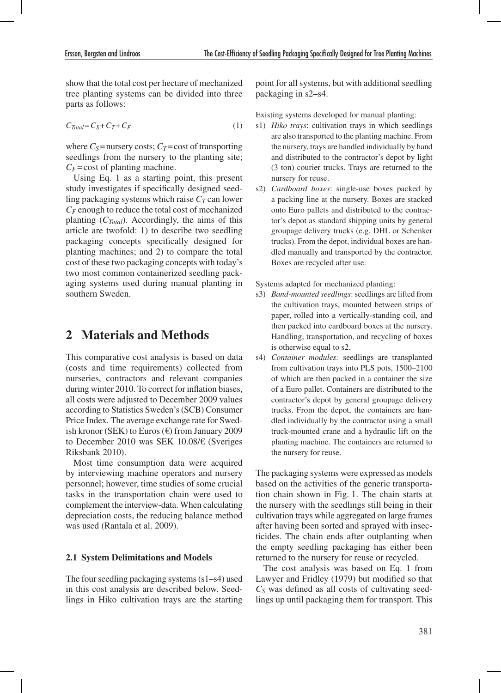show that the total cost per hectare of mechanized tree planting systems can be divided into three parts as follows:

$$
C_{Total} = C_S + C_T + C_F \tag{1}
$$

where  $C_s$ =nursery costs;  $C_T$ =cost of transporting seedlings from the nursery to the planting site;  $C_F$  = cost of planting machine.

Using Eq. 1 as a starting point, this present study investigates if specifically designed seedling packaging systems which raise  $C_T$  can lower  $C_F$  enough to reduce the total cost of mechanized planting (*CTotal*). Accordingly, the aims of this article are twofold: 1) to describe two seedling packaging concepts specifically designed for planting machines; and 2) to compare the total cost of these two packaging concepts with today's two most common containerized seedling packaging systems used during manual planting in southern Sweden.

## **2 Materials and Methods**

This comparative cost analysis is based on data (costs and time requirements) collected from nurseries, contractors and relevant companies during winter 2010. To correct for inflation biases, all costs were adjusted to December 2009 values according to Statistics Sweden's (SCB) Consumer Price Index. The average exchange rate for Swedish kronor (SEK) to Euros ( $\epsilon$ ) from January 2009 to December 2010 was SEK 10.08/€ (Sveriges Riksbank 2010).

Most time consumption data were acquired by interviewing machine operators and nursery personnel; however, time studies of some crucial tasks in the transportation chain were used to complement the interview-data. When calculating depreciation costs, the reducing balance method was used (Rantala et al. 2009).

### **2.1 System Delimitations and Models**

The four seedling packaging systems (s1–s4) used in this cost analysis are described below. Seedlings in Hiko cultivation trays are the starting point for all systems, but with additional seedling packaging in s2–s4.

Existing systems developed for manual planting:

- s1) *Hiko trays*: cultivation trays in which seedlings are also transported to the planting machine. From the nursery, trays are handled individually by hand and distributed to the contractor's depot by light (3 ton) courier trucks. Trays are returned to the nursery for reuse.
- s2) *Cardboard boxes*: single-use boxes packed by a packing line at the nursery. Boxes are stacked onto Euro pallets and distributed to the contractor's depot as standard shipping units by general groupage delivery trucks (e.g. DHL or Schenker trucks). From the depot, individual boxes are handled manually and transported by the contractor. Boxes are recycled after use.

Systems adapted for mechanized planting:

- s3) *Band-mounted seedlings*: seedlings are lifted from the cultivation trays, mounted between strips of paper, rolled into a vertically-standing coil, and then packed into cardboard boxes at the nursery. Handling, transportation, and recycling of boxes is otherwise equal to s2.
- s4) *Container modules:* seedlings are transplanted from cultivation trays into PLS pots, 1500–2100 of which are then packed in a container the size of a Euro pallet. Containers are distributed to the contractor's depot by general groupage delivery trucks. From the depot, the containers are handled individually by the contractor using a small truck-mounted crane and a hydraulic lift on the planting machine. The containers are returned to the nursery for reuse.

The packaging systems were expressed as models based on the activities of the generic transportation chain shown in Fig. 1. The chain starts at the nursery with the seedlings still being in their cultivation trays while aggregated on large frames after having been sorted and sprayed with insecticides. The chain ends after outplanting when the empty seedling packaging has either been returned to the nursery for reuse or recycled.

The cost analysis was based on Eq. 1 from Lawyer and Fridley (1979) but modified so that *CS* was defined as all costs of cultivating seedlings up until packaging them for transport. This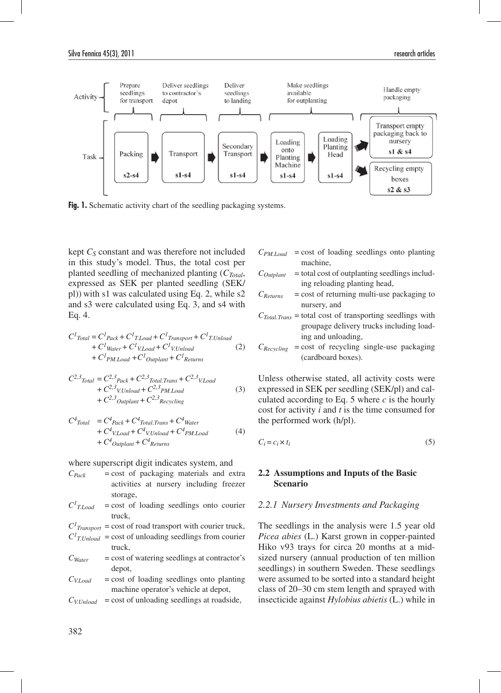

Fig. 1. Schematic activity chart of the seedling packaging systems.

kept *CS* constant and was therefore not included in this study's model. Thus, the total cost per planted seedling of mechanized planting (*CTotal*, expressed as SEK per planted seedling (SEK/ pl)) with s1 was calculated using Eq. 2, while s2 and s3 were calculated using Eq. 3, and s4 with Eq. 4.

$$
C^{I}_{Total} = C^{I}_{Pack} + C^{I}_{T_{Load}} + C^{I}_{T_{RMSport}} + C^{I}_{T_{LUndad}}
$$
  
+ 
$$
C^{I}_{Water} + C^{I}_{VLoad} + C^{I}_{VLUnload}
$$
 (2)  
+ 
$$
C^{I}_{PM_{Load}} + C^{I}_{OutputH} + C^{I}_{Returns}
$$

$$
C^{2,3} \text{Total} = C^{2,3} \text{Pack} + C^{2,3} \text{Total} \text{.} \text{Trans} + C^{2,3} \text{V.} \text{Load} + C^{2,3} \text{V.} \text{Unload} + C^{2,3} \text{PM.} \text{Load} + C^{2,3} \text{Output} + C^{2,3} \text{Recycling}
$$
(3)

$$
C^{4} \text{Total} = C^{4} \text{Pack} + C^{4} \text{Total} \text{. Trans} + C^{4} \text{Water} + C^{4} \text{V. Load} + C^{4} \text{V. Unload} + C^{4} \text{PM. Load} + C^{4} \text{Output} + C^{4} \text{Returns}
$$
 (4)

where superscript digit indicates system, and

| $C_{Pack}$     | $=$ cost of packaging materials and extra                              |
|----------------|------------------------------------------------------------------------|
|                | activities at nursery including freezer                                |
|                | storage,                                                               |
| $C^{I}$ T.Load | $=$ cost of loading seedlings onto courier                             |
|                | truck,                                                                 |
|                | $C1$ <sub>Transport</sub> = cost of road transport with courier truck, |
|                | $C1$ <sub>T.Unload</sub> = cost of unloading seedlings from courier    |
|                | truck.                                                                 |

- $C<sub>Water</sub>$  = cost of watering seedlings at contractor's depot,
- $C_{VI,oad}$  = cost of loading seedlings onto planting machine operator's vehicle at depot,
- $C_{V.Unload}$  = cost of unloading seedlings at roadside,
- $C_{PM, Load}$  = cost of loading seedlings onto planting machine,
- $C_{\text{Output}}$  = total cost of outplanting seedlings including reloading planting head,
- $C_{Returns}$  = cost of returning multi-use packaging to nursery, and
- *CTotal.Trans* = total cost of transporting seedlings with groupage delivery trucks including loading and unloading,
- $C_{Recveling}$  = cost of recycling single-use packaging (cardboard boxes).

Unless otherwise stated, all activity costs were expressed in SEK per seedling (SEK/pl) and calculated according to Eq. 5 where *c* is the hourly cost for activity *i* and *t* is the time consumed for the performed work (h/pl).

$$
C_i = c_i \times t_i \tag{5}
$$

#### **2.2 Assumptions and Inputs of the Basic Scenario**

#### *2.2.1 Nursery Investments and Packaging*

The seedlings in the analysis were 1.5 year old *Picea abies* (L.) Karst grown in copper-painted Hiko v93 trays for circa 20 months at a midsized nursery (annual production of ten million seedlings) in southern Sweden. These seedlings were assumed to be sorted into a standard height class of 20–30 cm stem length and sprayed with insecticide against *Hylobius abietis* (L.) while in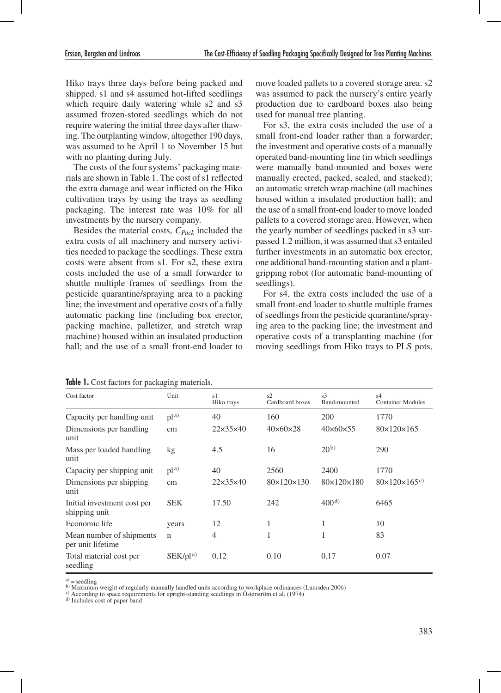Hiko trays three days before being packed and shipped. s1 and s4 assumed hot-lifted seedlings which require daily watering while s2 and s3 assumed frozen-stored seedlings which do not require watering the initial three days after thawing. The outplanting window, altogether 190 days, was assumed to be April 1 to November 15 but with no planting during July.

The costs of the four systems' packaging materials are shown in Table 1. The cost of s1 reflected the extra damage and wear inflicted on the Hiko cultivation trays by using the trays as seedling packaging. The interest rate was 10% for all investments by the nursery company.

Besides the material costs, *CPack* included the extra costs of all machinery and nursery activities needed to package the seedlings. These extra costs were absent from s1. For s2, these extra costs included the use of a small forwarder to shuttle multiple frames of seedlings from the pesticide quarantine/spraying area to a packing line; the investment and operative costs of a fully automatic packing line (including box erector, packing machine, palletizer, and stretch wrap machine) housed within an insulated production hall; and the use of a small front-end loader to

move loaded pallets to a covered storage area. s2 was assumed to pack the nursery's entire yearly production due to cardboard boxes also being used for manual tree planting.

For s3, the extra costs included the use of a small front-end loader rather than a forwarder; the investment and operative costs of a manually operated band-mounting line (in which seedlings were manually band-mounted and boxes were manually erected, packed, sealed, and stacked); an automatic stretch wrap machine (all machines housed within a insulated production hall); and the use of a small front-end loader to move loaded pallets to a covered storage area. However, when the yearly number of seedlings packed in s3 surpassed 1.2 million, it was assumed that s3 entailed further investments in an automatic box erector, one additional band-mounting station and a plantgripping robot (for automatic band-mounting of seedlings).

For s4, the extra costs included the use of a small front-end loader to shuttle multiple frames of seedlings from the pesticide quarantine/spraying area to the packing line; the investment and operative costs of a transplanting machine (for moving seedlings from Hiko trays to PLS pots,

| Cost factor                                   | Unit            | s1<br>Hiko trays     | s2<br>Cardboard boxes  | s <sub>3</sub><br>Band-mounted | s4<br><b>Container Modules</b>       |
|-----------------------------------------------|-----------------|----------------------|------------------------|--------------------------------|--------------------------------------|
| Capacity per handling unit                    | p1a)            | 40                   | 160                    | <b>200</b>                     | 1770                                 |
| Dimensions per handling<br>unit               | cm              | $22\times35\times40$ | $40\times60\times28$   | $40\times60\times55$           | $80 \times 120 \times 165$           |
| Mass per loaded handling<br>unit              | kg              | 4.5                  | 16                     | 20 <sup>b</sup>                | 290                                  |
| Capacity per shipping unit                    | p1 <sup>a</sup> | 40                   | 2560                   | 2400                           | 1770                                 |
| Dimensions per shipping<br>unit               | cm              | $22\times35\times40$ | $80\times120\times130$ | 80×120×180                     | $80\times120\times165$ <sup>c)</sup> |
| Initial investment cost per<br>shipping unit  | <b>SEK</b>      | 17.50                | 242                    | 400 <sup>d</sup>               | 6465                                 |
| Economic life                                 | years           | 12                   | 1                      | 1                              | 10                                   |
| Mean number of shipments<br>per unit lifetime | n               | 4                    |                        | 1                              | 83                                   |
| Total material cost per<br>seedling           | $SEK/Dl^{a}$    | 0.12                 | 0.10                   | 0.17                           | 0.07                                 |

**Table 1.** Cost factors for packaging materials.

d) Includes cost of paper band

a) = seedling<br>b) Maximum weight of regularly manually handled units according to workplace ordinances (Lumsden 2006)

c) According to space requirements for upright-standing seedlings in Österström et al. (1974)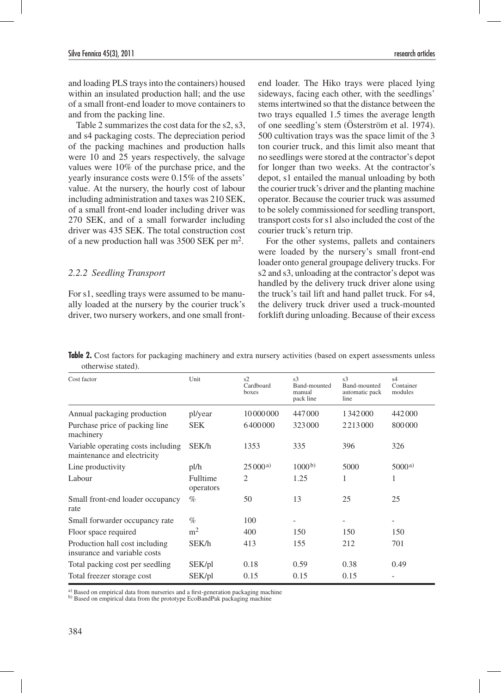and loading PLS trays into the containers) housed within an insulated production hall; and the use of a small front-end loader to move containers to and from the packing line.

Table 2 summarizes the cost data for the s2, s3, and s4 packaging costs. The depreciation period of the packing machines and production halls were 10 and 25 years respectively, the salvage values were 10% of the purchase price, and the yearly insurance costs were 0.15% of the assets' value. At the nursery, the hourly cost of labour including administration and taxes was 210 SEK, of a small front-end loader including driver was 270 SEK, and of a small forwarder including driver was 435 SEK. The total construction cost of a new production hall was 3500 SEK per m2.

### *2.2.2 Seedling Transport*

For s1, seedling trays were assumed to be manually loaded at the nursery by the courier truck's driver, two nursery workers, and one small frontend loader. The Hiko trays were placed lying sideways, facing each other, with the seedlings' stems intertwined so that the distance between the two trays equalled 1.5 times the average length of one seedling's stem (Österström et al. 1974). 500 cultivation trays was the space limit of the 3 ton courier truck, and this limit also meant that no seedlings were stored at the contractor's depot for longer than two weeks. At the contractor's depot, s1 entailed the manual unloading by both the courier truck's driver and the planting machine operator. Because the courier truck was assumed to be solely commissioned for seedling transport, transport costs for s1 also included the cost of the courier truck's return trip.

For the other systems, pallets and containers were loaded by the nursery's small front-end loader onto general groupage delivery trucks. For s2 and s3, unloading at the contractor's depot was handled by the delivery truck driver alone using the truck's tail lift and hand pallet truck. For s4, the delivery truck driver used a truck-mounted forklift during unloading. Because of their excess

**Table 2.** Cost factors for packaging machinery and extra nursery activities (based on expert assessments unless otherwise stated).

| Cost factor                                                       | Unit                  | s2<br>Cardboard<br>boxes | s <sub>3</sub><br>Band-mounted<br>manual<br>pack line | s <sub>3</sub><br>Band-mounted<br>automatic pack<br>line | s4<br>Container<br>modules |
|-------------------------------------------------------------------|-----------------------|--------------------------|-------------------------------------------------------|----------------------------------------------------------|----------------------------|
| Annual packaging production                                       | pl/year               | 10 000 000               | 447000                                                | 1342000                                                  | 442000                     |
| Purchase price of packing line<br>machinery                       | <b>SEK</b>            | 6400000                  | 323000                                                | 2213000                                                  | 800000                     |
| Variable operating costs including<br>maintenance and electricity | SEK/h                 | 1353                     | 335                                                   | 396                                                      | 326                        |
| Line productivity                                                 | pl/h                  | 25000a                   | 1000 <sup>b</sup>                                     | 5000                                                     | 5000a)                     |
| Labour                                                            | Fulltime<br>operators | 2                        | 1.25                                                  | 1                                                        | 1                          |
| Small front-end loader occupancy<br>rate                          | $\%$                  | 50                       | 13                                                    | 25                                                       | 25                         |
| Small forwarder occupancy rate                                    | $\%$                  | 100                      |                                                       |                                                          |                            |
| Floor space required                                              | m <sup>2</sup>        | 400                      | 150                                                   | 150                                                      | 150                        |
| Production hall cost including<br>insurance and variable costs    | SEK/h                 | 413                      | 155                                                   | 212                                                      | 701                        |
| Total packing cost per seedling                                   | SEK/pl                | 0.18                     | 0.59                                                  | 0.38                                                     | 0.49                       |
| Total freezer storage cost                                        | SEK/pl                | 0.15                     | 0.15                                                  | 0.15                                                     |                            |

a) Based on empirical data from nurseries and a first-generation packaging machine

b) Based on empirical data from the prototype EcoBandPak packaging machine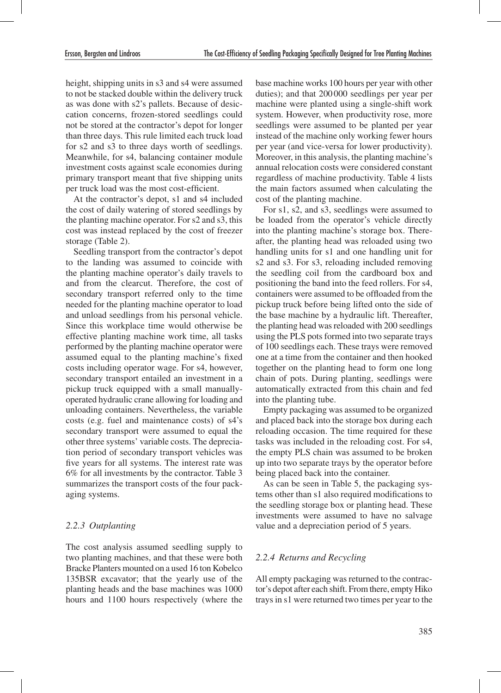height, shipping units in s3 and s4 were assumed to not be stacked double within the delivery truck as was done with s2's pallets. Because of desiccation concerns, frozen-stored seedlings could not be stored at the contractor's depot for longer than three days. This rule limited each truck load for s2 and s3 to three days worth of seedlings. Meanwhile, for s4, balancing container module investment costs against scale economies during primary transport meant that five shipping units per truck load was the most cost-efficient.

At the contractor's depot, s1 and s4 included the cost of daily watering of stored seedlings by the planting machine operator. For s2 and s3, this cost was instead replaced by the cost of freezer storage (Table 2).

Seedling transport from the contractor's depot to the landing was assumed to coincide with the planting machine operator's daily travels to and from the clearcut. Therefore, the cost of secondary transport referred only to the time needed for the planting machine operator to load and unload seedlings from his personal vehicle. Since this workplace time would otherwise be effective planting machine work time, all tasks performed by the planting machine operator were assumed equal to the planting machine's fixed costs including operator wage. For s4, however, secondary transport entailed an investment in a pickup truck equipped with a small manuallyoperated hydraulic crane allowing for loading and unloading containers. Nevertheless, the variable costs (e.g. fuel and maintenance costs) of s4's secondary transport were assumed to equal the other three systems' variable costs. The depreciation period of secondary transport vehicles was five years for all systems. The interest rate was 6% for all investments by the contractor. Table 3 summarizes the transport costs of the four packaging systems.

### *2.2.3 Outplanting*

The cost analysis assumed seedling supply to two planting machines, and that these were both Bracke Planters mounted on a used 16 ton Kobelco 135BSR excavator; that the yearly use of the planting heads and the base machines was 1000 hours and 1100 hours respectively (where the

base machine works 100 hours per year with other duties); and that 200000 seedlings per year per machine were planted using a single-shift work system. However, when productivity rose, more seedlings were assumed to be planted per year instead of the machine only working fewer hours per year (and vice-versa for lower productivity). Moreover, in this analysis, the planting machine's annual relocation costs were considered constant regardless of machine productivity. Table 4 lists the main factors assumed when calculating the cost of the planting machine.

For s1, s2, and s3, seedlings were assumed to be loaded from the operator's vehicle directly into the planting machine's storage box. Thereafter, the planting head was reloaded using two handling units for s1 and one handling unit for s2 and s3. For s3, reloading included removing the seedling coil from the cardboard box and positioning the band into the feed rollers. For s4, containers were assumed to be offloaded from the pickup truck before being lifted onto the side of the base machine by a hydraulic lift. Thereafter, the planting head was reloaded with 200 seedlings using the PLS pots formed into two separate trays of 100 seedlings each. These trays were removed one at a time from the container and then hooked together on the planting head to form one long chain of pots. During planting, seedlings were automatically extracted from this chain and fed into the planting tube.

Empty packaging was assumed to be organized and placed back into the storage box during each reloading occasion. The time required for these tasks was included in the reloading cost. For s4, the empty PLS chain was assumed to be broken up into two separate trays by the operator before being placed back into the container.

As can be seen in Table 5, the packaging systems other than s1 also required modifications to the seedling storage box or planting head. These investments were assumed to have no salvage value and a depreciation period of 5 years.

### *2.2.4 Returns and Recycling*

All empty packaging was returned to the contractor's depot after each shift. From there, empty Hiko trays in s1 were returned two times per year to the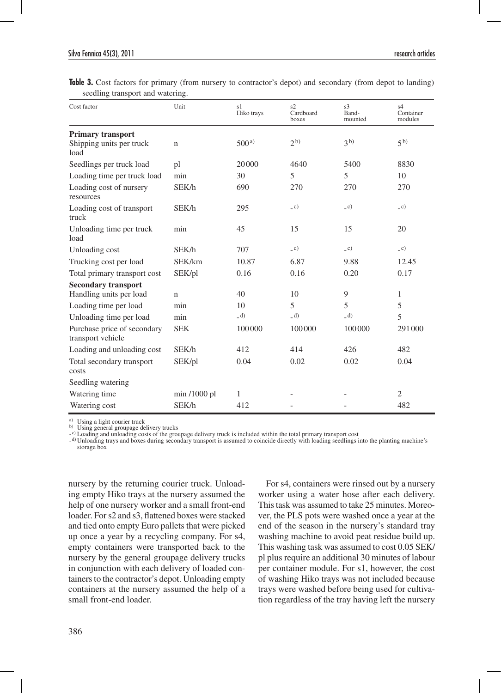| Cost factor                                                  | Unit          | s1<br>Hiko trays | s2<br>Cardboard<br>boxes | s <sub>3</sub><br>Band-<br>mounted | s4<br>Container<br>modules |
|--------------------------------------------------------------|---------------|------------------|--------------------------|------------------------------------|----------------------------|
| <b>Primary transport</b><br>Shipping units per truck<br>load | $\mathbf n$   | 500a             | 2 <sub>b</sub>           | 3 <sub>b</sub>                     | 5 <sup>b</sup>             |
| Seedlings per truck load                                     | pl            | 20000            | 4640                     | 5400                               | 8830                       |
| Loading time per truck load                                  | min           | 30               | 5                        | 5                                  | 10                         |
| Loading cost of nursery<br>resources                         | SEK/h         | 690              | 270                      | 270                                | 270                        |
| Loading cost of transport<br>truck                           | SEK/h         | 295              | $_{c}$ c)                | $\overline{c}$ )                   | $\overline{c}$ )           |
| Unloading time per truck<br>load                             | min           | 45               | 15                       | 15                                 | 20                         |
| Unloading cost                                               | SEK/h         | 707              | $\overline{c}$           | $\overline{c}$ )                   | $\overline{c}$ )           |
| Trucking cost per load                                       | SEK/km        | 10.87            | 6.87                     | 9.88                               | 12.45                      |
| Total primary transport cost                                 | SEK/pl        | 0.16             | 0.16                     | 0.20                               | 0.17                       |
| <b>Secondary transport</b><br>Handling units per load        | $\mathbf n$   | 40               | 10                       | 9                                  | 1                          |
| Loading time per load                                        | min           | 10               | 5                        | 5                                  | 5                          |
| Unloading time per load                                      | min           | (d)              | (d)                      | (d)                                | 5                          |
| Purchase price of secondary<br>transport vehicle             | <b>SEK</b>    | 100000           | 100000                   | 100000                             | 291000                     |
| Loading and unloading cost                                   | SEK/h         | 412              | 414                      | 426                                | 482                        |
| Total secondary transport<br>costs                           | SEK/pl        | 0.04             | 0.02                     | 0.02                               | 0.04                       |
| Seedling watering                                            |               |                  |                          |                                    |                            |
| Watering time                                                | $min/1000$ pl | 1                |                          |                                    | $\overline{c}$             |
| Watering cost                                                | SEK/h         | 412              |                          |                                    | 482                        |

**Table 3.** Cost factors for primary (from nursery to contractor's depot) and secondary (from depot to landing) seedling transport and watering.

a) Using a light courier truck b) Using general groupage delivery trucks

- c) Loading and unloading costs of the groupage delivery truck is included within the total primary transport cost

-<sup>d)</sup> Unloading trays and boxes during secondary transport is assumed to coincide directly with loading seedlings into the planting machine's storage box

nursery by the returning courier truck. Unloading empty Hiko trays at the nursery assumed the help of one nursery worker and a small front-end loader. For s2 and s3, flattened boxes were stacked and tied onto empty Euro pallets that were picked up once a year by a recycling company. For s4, empty containers were transported back to the nursery by the general groupage delivery trucks in conjunction with each delivery of loaded containers to the contractor's depot. Unloading empty containers at the nursery assumed the help of a small front-end loader.

For s4, containers were rinsed out by a nursery worker using a water hose after each delivery. This task was assumed to take 25 minutes. Moreover, the PLS pots were washed once a year at the end of the season in the nursery's standard tray washing machine to avoid peat residue build up. This washing task was assumed to cost 0.05 SEK/ pl plus require an additional 30 minutes of labour per container module. For s1, however, the cost of washing Hiko trays was not included because trays were washed before being used for cultivation regardless of the tray having left the nursery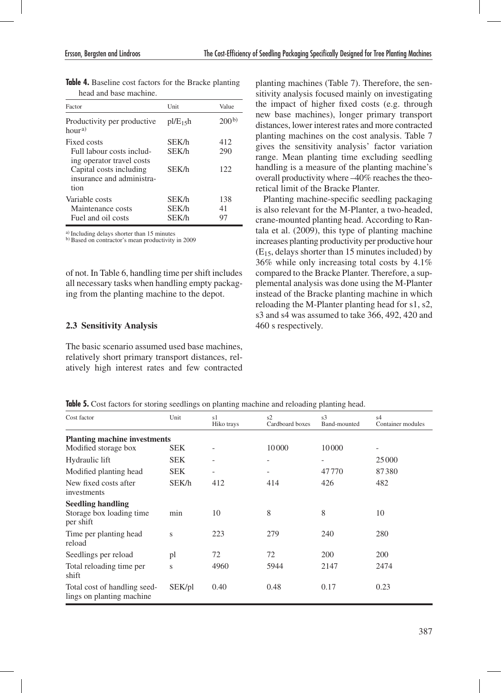| Factor                                                                                                                                | Unit                    | Value             |
|---------------------------------------------------------------------------------------------------------------------------------------|-------------------------|-------------------|
| Productivity per productive<br>hour <sup>a)</sup>                                                                                     | pl/E <sub>15</sub> h    | 200 <sub>p</sub>  |
| Fixed costs<br>Full labour costs includ-<br>ing operator travel costs<br>Capital costs including<br>insurance and administra-<br>tion | SEK/h<br>SEK/h<br>SEK/h | 412<br>290<br>122 |
| Variable costs<br>Maintenance costs<br>Fuel and oil costs                                                                             | SEK/h<br>SEK/h<br>SEK/h | 138<br>41<br>97   |

|  | Table 4. Baseline cost factors for the Bracke planting |  |  |
|--|--------------------------------------------------------|--|--|
|  | head and base machine.                                 |  |  |

<sup>a)</sup> Including delays shorter than 15 minutes b) Based on contractor's mean productivity in 2009

of not. In Table 6, handling time per shift includes all necessary tasks when handling empty packaging from the planting machine to the depot.

#### **2.3 Sensitivity Analysis**

The basic scenario assumed used base machines, relatively short primary transport distances, relatively high interest rates and few contracted planting machines (Table 7). Therefore, the sensitivity analysis focused mainly on investigating the impact of higher fixed costs (e.g. through new base machines), longer primary transport distances, lower interest rates and more contracted planting machines on the cost analysis. Table 7 gives the sensitivity analysis' factor variation range. Mean planting time excluding seedling handling is a measure of the planting machine's overall productivity where –40% reaches the theoretical limit of the Bracke Planter.

Planting machine-specific seedling packaging is also relevant for the M-Planter, a two-headed, crane-mounted planting head. According to Rantala et al. (2009), this type of planting machine increases planting productivity per productive hour  $(E<sub>15</sub>,$  delays shorter than 15 minutes included) by 36% while only increasing total costs by 4.1% compared to the Bracke Planter. Therefore, a supplemental analysis was done using the M-Planter instead of the Bracke planting machine in which reloading the M-Planter planting head for s1, s2, s3 and s4 was assumed to take 366, 492, 420 and 460 s respectively.

|  |  |  |  |  |  |  |  |  | <b>Table 5.</b> Cost factors for storing seedlings on planting machine and reloading planting head |
|--|--|--|--|--|--|--|--|--|----------------------------------------------------------------------------------------------------|
|--|--|--|--|--|--|--|--|--|----------------------------------------------------------------------------------------------------|

| Cost factor                                                       | Unit   | s1<br>Hiko trays         | s2<br>Cardboard boxes        | s <sub>3</sub><br>Band-mounted | s4<br>Container modules      |  |  |  |
|-------------------------------------------------------------------|--------|--------------------------|------------------------------|--------------------------------|------------------------------|--|--|--|
| <b>Planting machine investments</b>                               |        |                          |                              |                                |                              |  |  |  |
| Modified storage box                                              | SEK.   | -                        | 10000                        | 10000                          | $\qquad \qquad \blacksquare$ |  |  |  |
| Hydraulic lift                                                    | SEK.   | $\overline{\phantom{a}}$ | $\qquad \qquad \blacksquare$ | $\overline{\phantom{a}}$       | 25 000                       |  |  |  |
| Modified planting head                                            | SEK.   | $\qquad \qquad -$        |                              | 47770                          | 87380                        |  |  |  |
| New fixed costs after<br>investments                              | SEK/h  | 412                      | 414                          | 426                            | 482                          |  |  |  |
| <b>Seedling handling</b><br>Storage box loading time<br>per shift | min    | 10                       | 8                            | 8                              | 10                           |  |  |  |
| Time per planting head<br>reload                                  | S      | 223                      | 279                          | 240                            | 280                          |  |  |  |
| Seedlings per reload                                              | pl     | 72                       | 72                           | 200                            | 200                          |  |  |  |
| Total reloading time per<br>shift                                 | S      | 4960                     | 5944                         | 2147                           | 2474                         |  |  |  |
| Total cost of handling seed-<br>lings on planting machine.        | SEK/pl | 0.40                     | 0.48                         | 0.17                           | 0.23                         |  |  |  |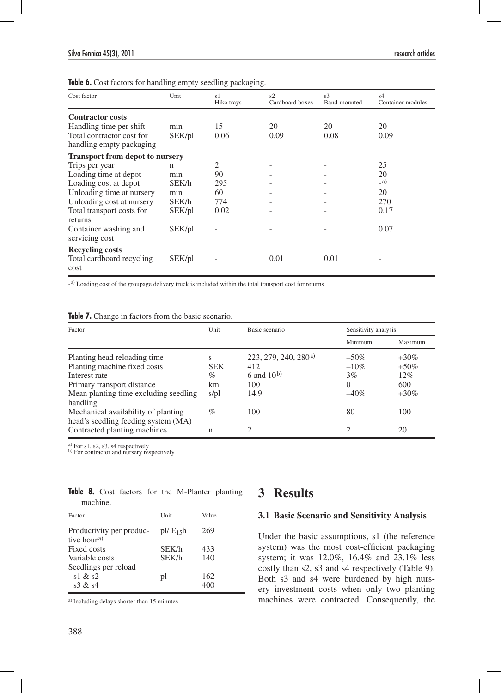**Table 6.** Cost factors for handling empty seedling packaging.

| Cost factor                            | Unit   | s1<br>Hiko trays | s2<br>Cardboard boxes | s <sub>3</sub><br>Band-mounted | s4<br>Container modules |
|----------------------------------------|--------|------------------|-----------------------|--------------------------------|-------------------------|
| <b>Contractor costs</b>                |        |                  |                       |                                |                         |
| Handling time per shift                | min    | 15               | 20                    | 20                             | 20                      |
| Total contractor cost for              | SEK/pl | 0.06             | 0.09                  | 0.08                           | 0.09                    |
| handling empty packaging               |        |                  |                       |                                |                         |
| <b>Transport from depot to nursery</b> |        |                  |                       |                                |                         |
| Trips per year                         | n      | 2                |                       |                                | 25                      |
| Loading time at depot                  | min    | 90               |                       |                                | 20                      |
| Loading cost at depot                  | SEK/h  | 295              |                       |                                | (a)                     |
| Unloading time at nursery              | min    | 60               |                       |                                | 20                      |
| Unloading cost at nursery              | SEK/h  | 774              |                       |                                | 270                     |
| Total transport costs for              | SEK/pl | 0.02             |                       |                                | 0.17                    |
| returns                                |        |                  |                       |                                |                         |
| Container washing and                  | SEK/pl |                  |                       |                                | 0.07                    |
| servicing cost                         |        |                  |                       |                                |                         |
| <b>Recycling costs</b>                 |        |                  |                       |                                |                         |
| Total cardboard recycling              | SEK/pl |                  | 0.01                  | 0.01                           |                         |
| cost                                   |        |                  |                       |                                |                         |

- a) Loading cost of the groupage delivery truck is included within the total transport cost for returns

| Table 7. Change in factors from the basic scenario. |  |  |  |  |  |  |  |  |  |  |
|-----------------------------------------------------|--|--|--|--|--|--|--|--|--|--|
|-----------------------------------------------------|--|--|--|--|--|--|--|--|--|--|

| Factor                                | Unit<br>Basic scenario |                                    | Sensitivity analysis |         |  |
|---------------------------------------|------------------------|------------------------------------|----------------------|---------|--|
|                                       |                        |                                    | Minimum              | Maximum |  |
| Planting head reloading time          | s                      | $223, 279, 240, 280$ <sup>a)</sup> | $-50\%$              | $+30\%$ |  |
| Planting machine fixed costs          | <b>SEK</b>             | 412                                | $-10\%$              | $+50\%$ |  |
| Interest rate                         | $\%$                   | 6 and $10^{b}$                     | 3%                   | 12%     |  |
| Primary transport distance            | km                     | 100                                | $\Omega$             | 600     |  |
| Mean planting time excluding seedling | s/pl                   | 14.9                               | $-40\%$              | $+30\%$ |  |
| handling                              |                        |                                    |                      |         |  |
| Mechanical availability of planting   | $\%$                   | 100                                | 80                   | 100     |  |
| head's seedling feeding system (MA)   |                        |                                    |                      |         |  |
| Contracted planting machines          | n                      | ∍                                  | ∍                    | 20      |  |

a) For s1, s2, s3, s4 respectively

b) For contractor and nursery respectively

| machine.                                             |       |       |  |  |  |  |  |  |
|------------------------------------------------------|-------|-------|--|--|--|--|--|--|
| Factor                                               | Unit  | Value |  |  |  |  |  |  |
| Productivity per produc- pl/ $E_1$ sh<br>tive houra) |       | 269   |  |  |  |  |  |  |
| Fixed costs                                          | SEK/h | 433   |  |  |  |  |  |  |
| Variable costs                                       | SEK/h | 140   |  |  |  |  |  |  |
| Seedlings per reload                                 |       |       |  |  |  |  |  |  |
| s1 & 8s2                                             | pl    | 162   |  |  |  |  |  |  |
| s3 $\&$ s4                                           |       | 400   |  |  |  |  |  |  |

**Table 8.** Cost factors for the M-Planter planting

a) Including delays shorter than 15 minutes

### **3 Results**

#### **3.1 Basic Scenario and Sensitivity Analysis**

Under the basic assumptions, s1 (the reference system) was the most cost-efficient packaging system; it was 12.0%, 16.4% and 23.1% less costly than s2, s3 and s4 respectively (Table 9). Both s3 and s4 were burdened by high nursery investment costs when only two planting machines were contracted. Consequently, the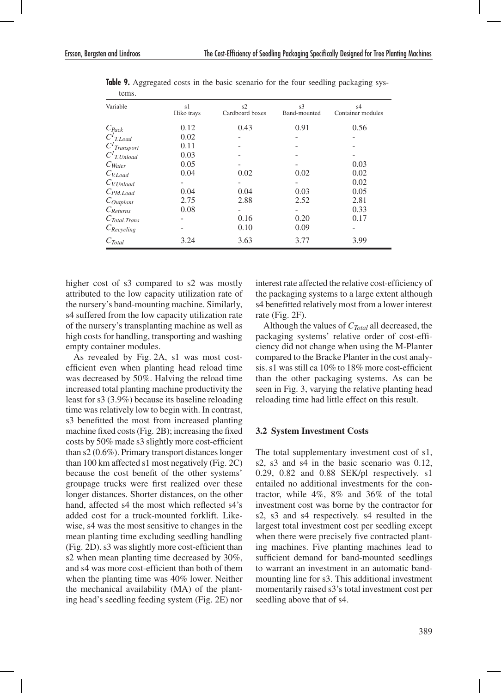| wills.                      |                  |                       |                                |                                     |
|-----------------------------|------------------|-----------------------|--------------------------------|-------------------------------------|
| Variable                    | s1<br>Hiko trays | s2<br>Cardboard boxes | s <sub>3</sub><br>Band-mounted | s <sub>4</sub><br>Container modules |
| $C_{Pack}$                  | 0.12             | 0.43                  | 0.91                           | 0.56                                |
| $\overline{C^I}_{T.Load}$   | 0.02             |                       |                                |                                     |
| $CI$ Transport              | 0.11             |                       |                                |                                     |
| $C^I$ T.Unload              | 0.03             |                       |                                |                                     |
| $C_{\text{Water}}$          | 0.05             |                       |                                | 0.03                                |
| $C_{V. Load}$               | 0.04             | 0.02                  | 0.02                           | 0.02                                |
| $C_{V. Unload}$             |                  |                       |                                | 0.02                                |
| $C_{PM.Load}$               | 0.04             | 0.04                  | 0.03                           | 0.05                                |
| $C_{Output}$                | 2.75             | 2.88                  | 2.52                           | 2.81                                |
| $C_{Returns}$               | 0.08             |                       |                                | 0.33                                |
| $C_{\textit{Total. Trans}}$ |                  | 0.16                  | 0.20                           | 0.17                                |
| $C_{Recycling}$             |                  | 0.10                  | 0.09                           |                                     |
| $C_{Total}$                 | 3.24             | 3.63                  | 3.77                           | 3.99                                |

**Table 9.** Aggregated costs in the basic scenario for the four seedling packaging systems

higher cost of s3 compared to s2 was mostly attributed to the low capacity utilization rate of the nursery's band-mounting machine. Similarly, s4 suffered from the low capacity utilization rate of the nursery's transplanting machine as well as high costs for handling, transporting and washing empty container modules.

As revealed by Fig. 2A, s1 was most costefficient even when planting head reload time was decreased by 50%. Halving the reload time increased total planting machine productivity the least for s3 (3.9%) because its baseline reloading time was relatively low to begin with. In contrast, s3 benefitted the most from increased planting machine fixed costs (Fig. 2B); increasing the fixed costs by 50% made s3 slightly more cost-efficient than s2 (0.6%). Primary transport distances longer than 100 km affected s1 most negatively (Fig. 2C) because the cost benefit of the other systems' groupage trucks were first realized over these longer distances. Shorter distances, on the other hand, affected s4 the most which reflected s4's added cost for a truck-mounted forklift. Likewise, s4 was the most sensitive to changes in the mean planting time excluding seedling handling (Fig. 2D). s3 was slightly more cost-efficient than s2 when mean planting time decreased by 30%, and s4 was more cost-efficient than both of them when the planting time was 40% lower. Neither the mechanical availability (MA) of the planting head's seedling feeding system (Fig. 2E) nor

interest rate affected the relative cost-efficiency of the packaging systems to a large extent although s4 benefitted relatively most from a lower interest rate (Fig. 2F).

Although the values of *CTotal* all decreased, the packaging systems' relative order of cost-efficiency did not change when using the M-Planter compared to the Bracke Planter in the cost analysis. s1 was still ca 10% to 18% more cost-efficient than the other packaging systems. As can be seen in Fig. 3, varying the relative planting head reloading time had little effect on this result.

#### **3.2 System Investment Costs**

The total supplementary investment cost of s1, s2, s3 and s4 in the basic scenario was 0.12, 0.29, 0.82 and 0.88 SEK/pl respectively. s1 entailed no additional investments for the contractor, while 4%, 8% and 36% of the total investment cost was borne by the contractor for s2, s3 and s4 respectively. s4 resulted in the largest total investment cost per seedling except when there were precisely five contracted planting machines. Five planting machines lead to sufficient demand for band-mounted seedlings to warrant an investment in an automatic bandmounting line for s3. This additional investment momentarily raised s3's total investment cost per seedling above that of s4.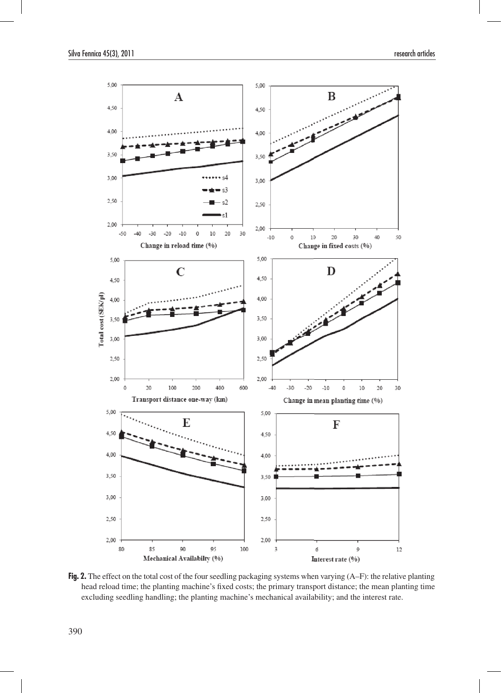

**Fig. 2.** The effect on the total cost of the four seedling packaging systems when varying (A–F): the relative planting head reload time; the planting machine's fixed costs; the primary transport distance; the mean planting time excluding seedling handling; the planting machine's mechanical availability; and the interest rate.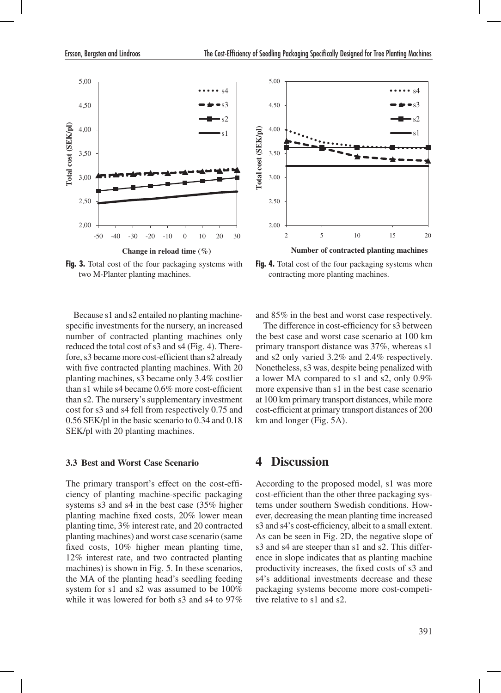

**Fig. 3.** Total cost of the four packaging systems with two M-Planter planting machines.

Because s1 and s2 entailed no planting machinespecific investments for the nursery, an increased number of contracted planting machines only reduced the total cost of s3 and s4 (Fig. 4). Therefore, s3 became more cost-efficient than s2 already with five contracted planting machines. With 20 planting machines, s3 became only 3.4% costlier than s1 while s4 became 0.6% more cost-efficient than s2. The nursery's supplementary investment cost for s3 and s4 fell from respectively 0.75 and 0.56 SEK/pl in the basic scenario to 0.34 and 0.18 SEK/pl with 20 planting machines.

#### **3.3 Best and Worst Case Scenario**

The primary transport's effect on the cost-efficiency of planting machine-specific packaging systems s3 and s4 in the best case (35% higher planting machine fixed costs, 20% lower mean planting time, 3% interest rate, and 20 contracted planting machines) and worst case scenario (same fixed costs, 10% higher mean planting time, 12% interest rate, and two contracted planting machines) is shown in Fig. 5. In these scenarios, the MA of the planting head's seedling feeding system for s1 and s2 was assumed to be 100% while it was lowered for both s3 and s4 to 97%



Fig. 4. Total cost of the four packaging systems when contracting more planting machines.

and 85% in the best and worst case respectively.

The difference in cost-efficiency for s3 between the best case and worst case scenario at 100 km primary transport distance was 37%, whereas s1 and s2 only varied 3.2% and 2.4% respectively. Nonetheless, s3 was, despite being penalized with a lower MA compared to s1 and s2, only 0.9% more expensive than s1 in the best case scenario at 100 km primary transport distances, while more cost-efficient at primary transport distances of 200 km and longer (Fig. 5A).

### **4 Discussion**

According to the proposed model, s1 was more cost-efficient than the other three packaging systems under southern Swedish conditions. However, decreasing the mean planting time increased s3 and s4's cost-efficiency, albeit to a small extent. As can be seen in Fig. 2D, the negative slope of s3 and s4 are steeper than s1 and s2. This difference in slope indicates that as planting machine productivity increases, the fixed costs of s3 and s4's additional investments decrease and these packaging systems become more cost-competitive relative to s1 and s2.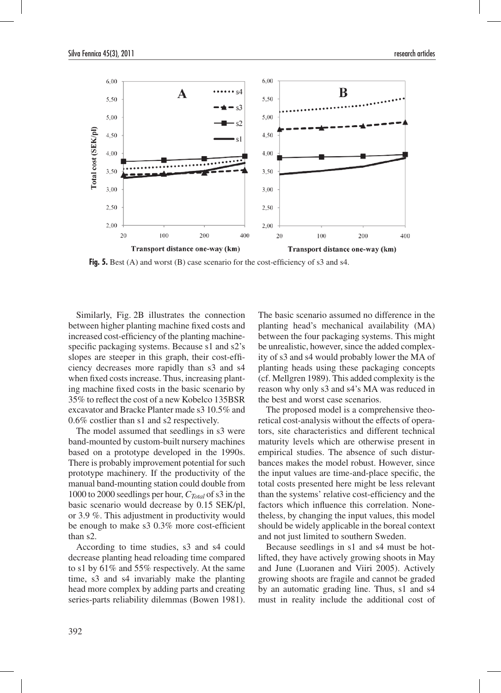

**Fig. 5.** Best (A) and worst (B) case scenario for the cost-efficiency of s3 and s4.

Similarly, Fig. 2B illustrates the connection between higher planting machine fixed costs and increased cost-efficiency of the planting machinespecific packaging systems. Because s1 and s2's slopes are steeper in this graph, their cost-efficiency decreases more rapidly than s3 and s4 when fixed costs increase. Thus, increasing planting machine fixed costs in the basic scenario by 35% to reflect the cost of a new Kobelco 135BSR excavator and Bracke Planter made s3 10.5% and 0.6% costlier than s1 and s2 respectively.

The model assumed that seedlings in s3 were band-mounted by custom-built nursery machines based on a prototype developed in the 1990s. There is probably improvement potential for such prototype machinery. If the productivity of the manual band-mounting station could double from 1000 to 2000 seedlings per hour, *CTotal* of s3 in the basic scenario would decrease by 0.15 SEK/pl, or 3.9 %. This adjustment in productivity would be enough to make s3 0.3% more cost-efficient than s2.

According to time studies, s3 and s4 could decrease planting head reloading time compared to s1 by 61% and 55% respectively. At the same time, s3 and s4 invariably make the planting head more complex by adding parts and creating series-parts reliability dilemmas (Bowen 1981).

The basic scenario assumed no difference in the planting head's mechanical availability (MA) between the four packaging systems. This might be unrealistic, however, since the added complexity of s3 and s4 would probably lower the MA of planting heads using these packaging concepts (cf. Mellgren 1989). This added complexity is the reason why only s3 and s4's MA was reduced in the best and worst case scenarios.

The proposed model is a comprehensive theoretical cost-analysis without the effects of operators, site characteristics and different technical maturity levels which are otherwise present in empirical studies. The absence of such disturbances makes the model robust. However, since the input values are time-and-place specific, the total costs presented here might be less relevant than the systems' relative cost-efficiency and the factors which influence this correlation. Nonetheless, by changing the input values, this model should be widely applicable in the boreal context and not just limited to southern Sweden.

Because seedlings in s1 and s4 must be hotlifted, they have actively growing shoots in May and June (Luoranen and Viiri 2005). Actively growing shoots are fragile and cannot be graded by an automatic grading line. Thus, s1 and s4 must in reality include the additional cost of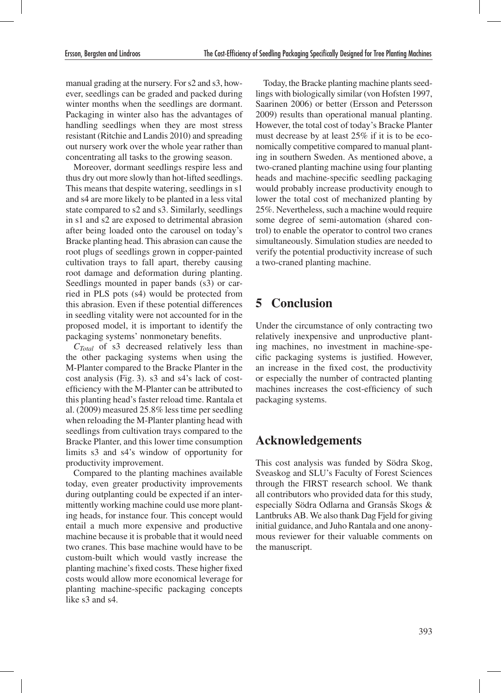manual grading at the nursery. For s2 and s3, however, seedlings can be graded and packed during winter months when the seedlings are dormant. Packaging in winter also has the advantages of handling seedlings when they are most stress resistant (Ritchie and Landis 2010) and spreading out nursery work over the whole year rather than concentrating all tasks to the growing season.

Moreover, dormant seedlings respire less and thus dry out more slowly than hot-lifted seedlings. This means that despite watering, seedlings in s1 and s4 are more likely to be planted in a less vital state compared to s2 and s3. Similarly, seedlings in s1 and s2 are exposed to detrimental abrasion after being loaded onto the carousel on today's Bracke planting head. This abrasion can cause the root plugs of seedlings grown in copper-painted cultivation trays to fall apart, thereby causing root damage and deformation during planting. Seedlings mounted in paper bands (s3) or carried in PLS pots (s4) would be protected from this abrasion. Even if these potential differences in seedling vitality were not accounted for in the proposed model, it is important to identify the packaging systems' nonmonetary benefits.

*CTotal* of s3 decreased relatively less than the other packaging systems when using the M-Planter compared to the Bracke Planter in the cost analysis (Fig. 3). s3 and s4's lack of costefficiency with the M-Planter can be attributed to this planting head's faster reload time. Rantala et al. (2009) measured 25.8% less time per seedling when reloading the M-Planter planting head with seedlings from cultivation trays compared to the Bracke Planter, and this lower time consumption limits s3 and s4's window of opportunity for productivity improvement.

Compared to the planting machines available today, even greater productivity improvements during outplanting could be expected if an intermittently working machine could use more planting heads, for instance four. This concept would entail a much more expensive and productive machine because it is probable that it would need two cranes. This base machine would have to be custom-built which would vastly increase the planting machine's fixed costs. These higher fixed costs would allow more economical leverage for planting machine-specific packaging concepts like s3 and s4.

Today, the Bracke planting machine plants seedlings with biologically similar (von Hofsten 1997, Saarinen 2006) or better (Ersson and Petersson 2009) results than operational manual planting. However, the total cost of today's Bracke Planter must decrease by at least 25% if it is to be economically competitive compared to manual planting in southern Sweden. As mentioned above, a two-craned planting machine using four planting heads and machine-specific seedling packaging would probably increase productivity enough to lower the total cost of mechanized planting by 25%. Nevertheless, such a machine would require some degree of semi-automation (shared control) to enable the operator to control two cranes simultaneously. Simulation studies are needed to verify the potential productivity increase of such a two-craned planting machine.

## **5 Conclusion**

Under the circumstance of only contracting two relatively inexpensive and unproductive planting machines, no investment in machine-specific packaging systems is justified. However, an increase in the fixed cost, the productivity or especially the number of contracted planting machines increases the cost-efficiency of such packaging systems.

## **Acknowledgements**

This cost analysis was funded by Södra Skog, Sveaskog and SLU's Faculty of Forest Sciences through the FIRST research school. We thank all contributors who provided data for this study, especially Södra Odlarna and Gransås Skogs & Lantbruks AB. We also thank Dag Fjeld for giving initial guidance, and Juho Rantala and one anonymous reviewer for their valuable comments on the manuscript.